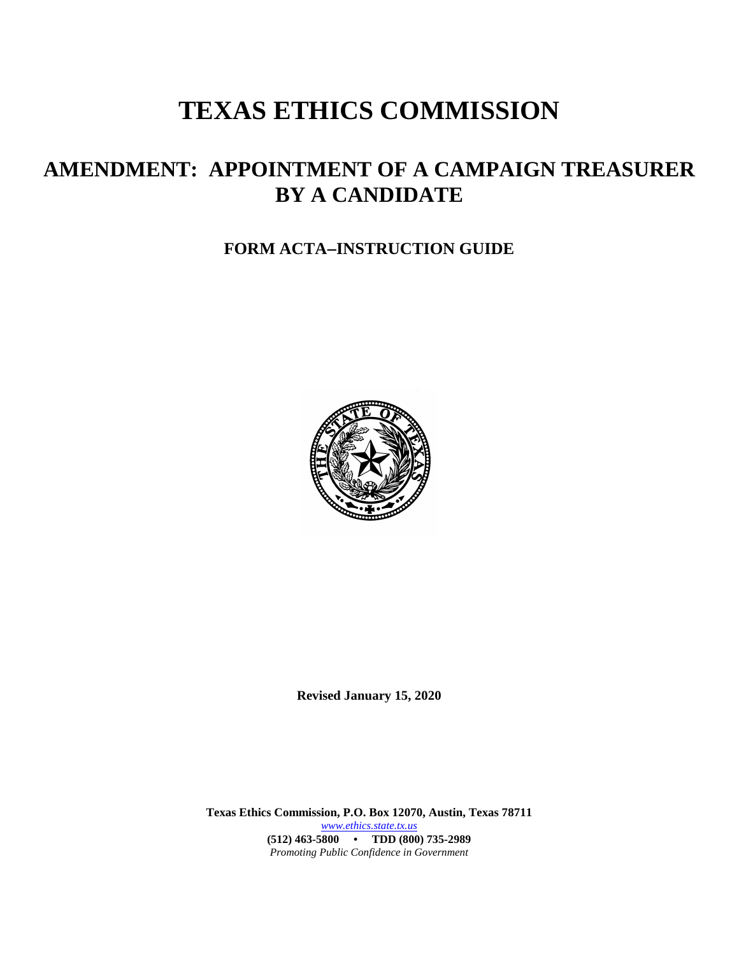# **TEXAS ETHICS COMMISSION**

## **AMENDMENT: APPOINTMENT OF A CAMPAIGN TREASURER BY A CANDIDATE**

### **FORM ACTA**−**INSTRUCTION GUIDE**



**Revised January 15, 2020**

**Texas Ethics Commission, P.O. Box 12070, Austin, Texas 78711** *[www.ethics.state.tx.us](http://www.ethics.state.tx.us/)* **(512) 463-5800 • TDD (800) 735-2989** *Promoting Public Confidence in Government*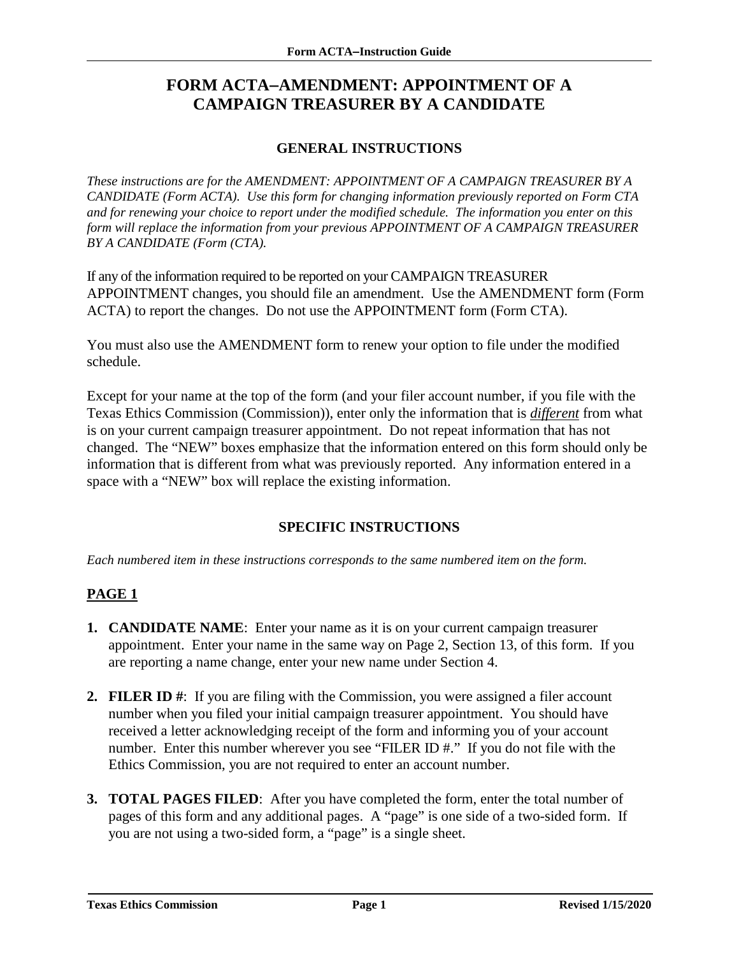## **FORM ACTA**−**AMENDMENT: APPOINTMENT OF A CAMPAIGN TREASURER BY A CANDIDATE**

#### **GENERAL INSTRUCTIONS**

*These instructions are for the AMENDMENT: APPOINTMENT OF A CAMPAIGN TREASURER BY A CANDIDATE (Form ACTA). Use this form for changing information previously reported on Form CTA and for renewing your choice to report under the modified schedule. The information you enter on this form will replace the information from your previous APPOINTMENT OF A CAMPAIGN TREASURER BY A CANDIDATE (Form (CTA).* 

If any of the information required to be reported on your CAMPAIGN TREASURER APPOINTMENT changes, you should file an amendment. Use the AMENDMENT form (Form ACTA) to report the changes. Do not use the APPOINTMENT form (Form CTA).

You must also use the AMENDMENT form to renew your option to file under the modified schedule.

Except for your name at the top of the form (and your filer account number, if you file with the Texas Ethics Commission (Commission)), enter only the information that is *different* from what is on your current campaign treasurer appointment. Do not repeat information that has not changed. The "NEW" boxes emphasize that the information entered on this form should only be information that is different from what was previously reported. Any information entered in a space with a "NEW" box will replace the existing information.

#### **SPECIFIC INSTRUCTIONS**

*Each numbered item in these instructions corresponds to the same numbered item on the form.*

#### **PAGE 1**

- **1. CANDIDATE NAME**: Enter your name as it is on your current campaign treasurer appointment. Enter your name in the same way on Page 2, Section 13, of this form. If you are reporting a name change, enter your new name under Section 4.
- **2. FILER ID #**: If you are filing with the Commission, you were assigned a filer account number when you filed your initial campaign treasurer appointment. You should have received a letter acknowledging receipt of the form and informing you of your account number. Enter this number wherever you see "FILER ID #." If you do not file with the Ethics Commission, you are not required to enter an account number.
- **3. TOTAL PAGES FILED**: After you have completed the form, enter the total number of pages of this form and any additional pages. A "page" is one side of a two-sided form. If you are not using a two-sided form, a "page" is a single sheet.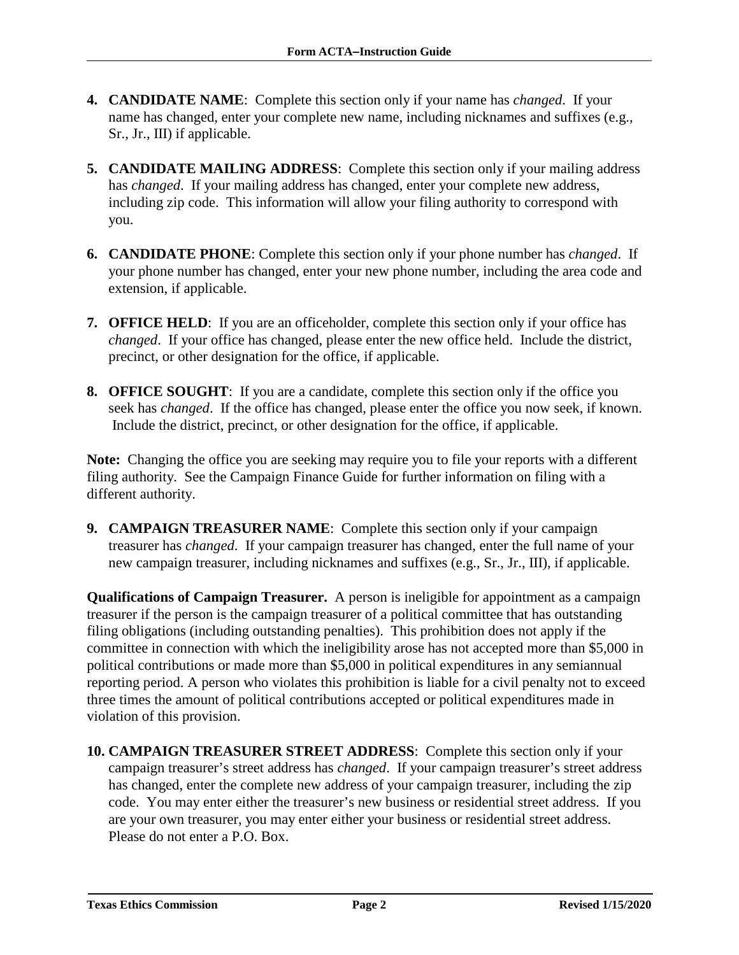- **4. CANDIDATE NAME**: Complete this section only if your name has *changed*. If your name has changed, enter your complete new name, including nicknames and suffixes (e.g., Sr., Jr., III) if applicable.
- **5. CANDIDATE MAILING ADDRESS**: Complete this section only if your mailing address has *changed*. If your mailing address has changed, enter your complete new address, including zip code. This information will allow your filing authority to correspond with you.
- **6. CANDIDATE PHONE**: Complete this section only if your phone number has *changed*. If your phone number has changed, enter your new phone number, including the area code and extension, if applicable.
- **7. OFFICE HELD**: If you are an officeholder, complete this section only if your office has *changed*. If your office has changed, please enter the new office held. Include the district, precinct, or other designation for the office, if applicable.
- **8. OFFICE SOUGHT**: If you are a candidate, complete this section only if the office you seek has *changed*. If the office has changed, please enter the office you now seek, if known. Include the district, precinct, or other designation for the office, if applicable.

**Note:** Changing the office you are seeking may require you to file your reports with a different filing authority. See the Campaign Finance Guide for further information on filing with a different authority.

**9. CAMPAIGN TREASURER NAME**: Complete this section only if your campaign treasurer has *changed*. If your campaign treasurer has changed, enter the full name of your new campaign treasurer, including nicknames and suffixes (e.g., Sr., Jr., III), if applicable.

**Qualifications of Campaign Treasurer.** A person is ineligible for appointment as a campaign treasurer if the person is the campaign treasurer of a political committee that has outstanding filing obligations (including outstanding penalties). This prohibition does not apply if the committee in connection with which the ineligibility arose has not accepted more than \$5,000 in political contributions or made more than \$5,000 in political expenditures in any semiannual reporting period. A person who violates this prohibition is liable for a civil penalty not to exceed three times the amount of political contributions accepted or political expenditures made in violation of this provision.

**10. CAMPAIGN TREASURER STREET ADDRESS**: Complete this section only if your campaign treasurer's street address has *changed*. If your campaign treasurer's street address has changed, enter the complete new address of your campaign treasurer, including the zip code. You may enter either the treasurer's new business or residential street address. If you are your own treasurer, you may enter either your business or residential street address. Please do not enter a P.O. Box.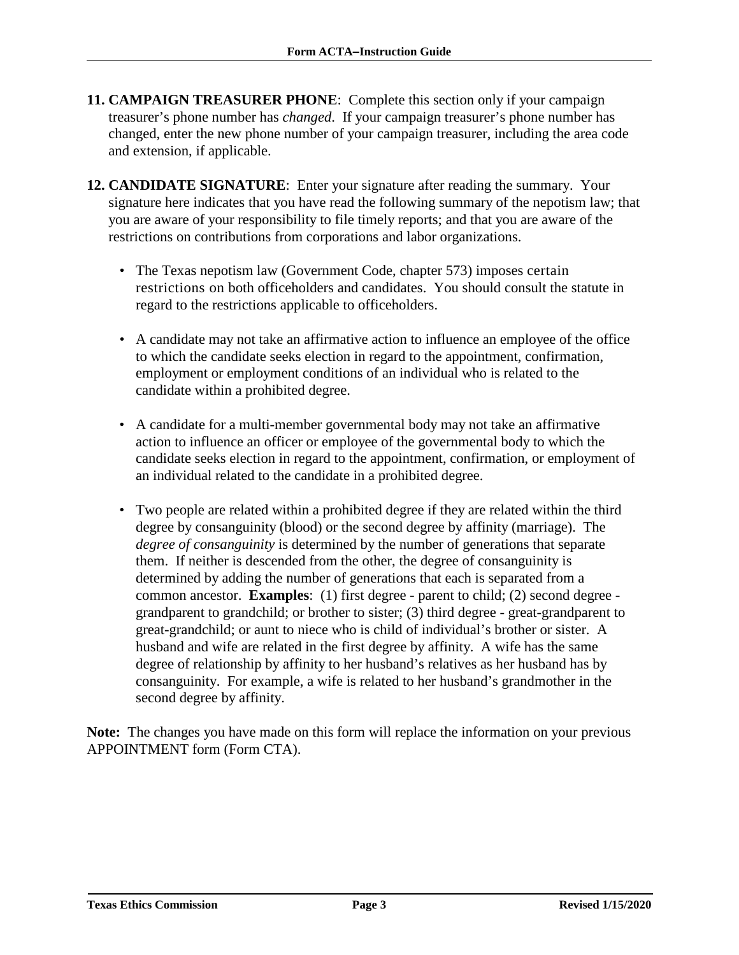- **11. CAMPAIGN TREASURER PHONE**: Complete this section only if your campaign treasurer's phone number has *changed*. If your campaign treasurer's phone number has changed, enter the new phone number of your campaign treasurer, including the area code and extension, if applicable.
- **12. CANDIDATE SIGNATURE**: Enter your signature after reading the summary. Your signature here indicates that you have read the following summary of the nepotism law; that you are aware of your responsibility to file timely reports; and that you are aware of the restrictions on contributions from corporations and labor organizations.
	- The Texas nepotism law (Government Code, chapter 573) imposes certain restrictions on both officeholders and candidates. You should consult the statute in regard to the restrictions applicable to officeholders.
	- A candidate may not take an affirmative action to influence an employee of the office to which the candidate seeks election in regard to the appointment, confirmation, employment or employment conditions of an individual who is related to the candidate within a prohibited degree.
	- A candidate for a multi-member governmental body may not take an affirmative action to influence an officer or employee of the governmental body to which the candidate seeks election in regard to the appointment, confirmation, or employment of an individual related to the candidate in a prohibited degree.
	- Two people are related within a prohibited degree if they are related within the third degree by consanguinity (blood) or the second degree by affinity (marriage). The *degree of consanguinity* is determined by the number of generations that separate them. If neither is descended from the other, the degree of consanguinity is determined by adding the number of generations that each is separated from a common ancestor. **Examples**: (1) first degree - parent to child; (2) second degree grandparent to grandchild; or brother to sister; (3) third degree - great-grandparent to great-grandchild; or aunt to niece who is child of individual's brother or sister. A husband and wife are related in the first degree by affinity. A wife has the same degree of relationship by affinity to her husband's relatives as her husband has by consanguinity. For example, a wife is related to her husband's grandmother in the second degree by affinity.

**Note:** The changes you have made on this form will replace the information on your previous APPOINTMENT form (Form CTA).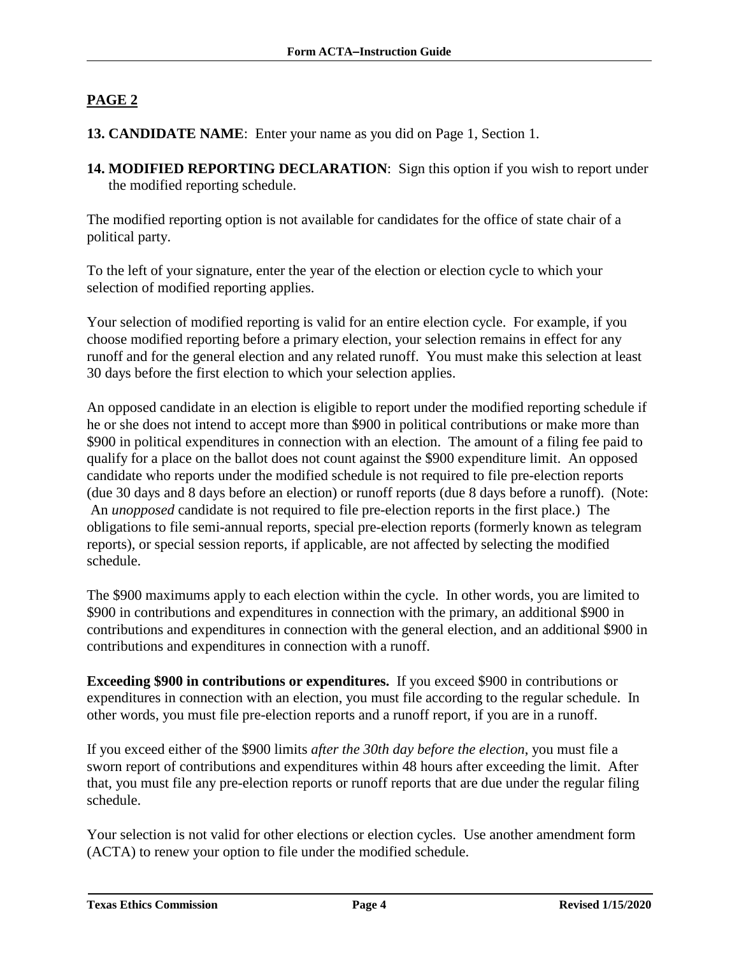#### **PAGE 2**

#### **13. CANDIDATE NAME**: Enter your name as you did on Page 1, Section 1.

**14. MODIFIED REPORTING DECLARATION**: Sign this option if you wish to report under the modified reporting schedule.

The modified reporting option is not available for candidates for the office of state chair of a political party.

To the left of your signature, enter the year of the election or election cycle to which your selection of modified reporting applies.

Your selection of modified reporting is valid for an entire election cycle. For example, if you choose modified reporting before a primary election, your selection remains in effect for any runoff and for the general election and any related runoff. You must make this selection at least 30 days before the first election to which your selection applies.

An opposed candidate in an election is eligible to report under the modified reporting schedule if he or she does not intend to accept more than \$900 in political contributions or make more than \$900 in political expenditures in connection with an election. The amount of a filing fee paid to qualify for a place on the ballot does not count against the \$900 expenditure limit. An opposed candidate who reports under the modified schedule is not required to file pre-election reports (due 30 days and 8 days before an election) or runoff reports (due 8 days before a runoff). (Note: An *unopposed* candidate is not required to file pre-election reports in the first place.) The obligations to file semi-annual reports, special pre-election reports (formerly known as telegram reports), or special session reports, if applicable, are not affected by selecting the modified schedule.

The \$900 maximums apply to each election within the cycle. In other words, you are limited to \$900 in contributions and expenditures in connection with the primary, an additional \$900 in contributions and expenditures in connection with the general election, and an additional \$900 in contributions and expenditures in connection with a runoff.

**Exceeding \$900 in contributions or expenditures.** If you exceed \$900 in contributions or expenditures in connection with an election, you must file according to the regular schedule. In other words, you must file pre-election reports and a runoff report, if you are in a runoff.

If you exceed either of the \$900 limits *after the 30th day before the election*, you must file a sworn report of contributions and expenditures within 48 hours after exceeding the limit. After that, you must file any pre-election reports or runoff reports that are due under the regular filing schedule.

Your selection is not valid for other elections or election cycles. Use another amendment form (ACTA) to renew your option to file under the modified schedule.